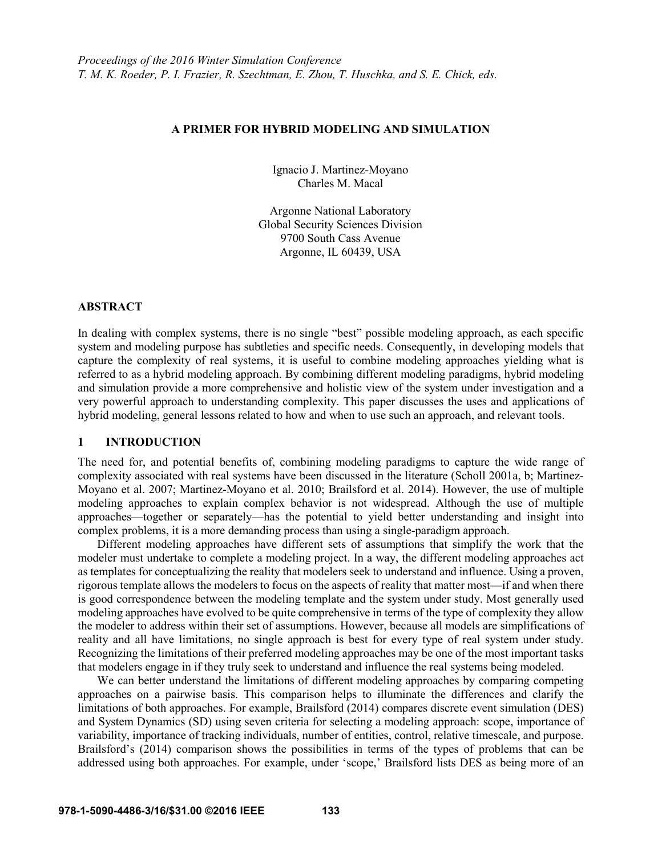### **A PRIMER FOR HYBRID MODELING AND SIMULATION**

Ignacio J. Martinez-Moyano Charles M. Macal

Argonne National Laboratory Global Security Sciences Division 9700 South Cass Avenue Argonne, IL 60439, USA

### **ABSTRACT**

In dealing with complex systems, there is no single "best" possible modeling approach, as each specific system and modeling purpose has subtleties and specific needs. Consequently, in developing models that capture the complexity of real systems, it is useful to combine modeling approaches yielding what is referred to as a hybrid modeling approach. By combining different modeling paradigms, hybrid modeling and simulation provide a more comprehensive and holistic view of the system under investigation and a very powerful approach to understanding complexity. This paper discusses the uses and applications of hybrid modeling, general lessons related to how and when to use such an approach, and relevant tools.

### **1 INTRODUCTION**

The need for, and potential benefits of, combining modeling paradigms to capture the wide range of complexity associated with real systems have been discussed in the literature (Scholl 2001a, b; Martinez-Moyano et al. 2007; Martinez-Moyano et al. 2010; Brailsford et al. 2014). However, the use of multiple modeling approaches to explain complex behavior is not widespread. Although the use of multiple approaches—together or separately—has the potential to yield better understanding and insight into complex problems, it is a more demanding process than using a single-paradigm approach.

Different modeling approaches have different sets of assumptions that simplify the work that the modeler must undertake to complete a modeling project. In a way, the different modeling approaches act as templates for conceptualizing the reality that modelers seek to understand and influence. Using a proven, rigorous template allows the modelers to focus on the aspects of reality that matter most—if and when there is good correspondence between the modeling template and the system under study. Most generally used modeling approaches have evolved to be quite comprehensive in terms of the type of complexity they allow the modeler to address within their set of assumptions. However, because all models are simplifications of reality and all have limitations, no single approach is best for every type of real system under study. Recognizing the limitations of their preferred modeling approaches may be one of the most important tasks that modelers engage in if they truly seek to understand and influence the real systems being modeled.

We can better understand the limitations of different modeling approaches by comparing competing approaches on a pairwise basis. This comparison helps to illuminate the differences and clarify the limitations of both approaches. For example, Brailsford (2014) compares discrete event simulation (DES) and System Dynamics (SD) using seven criteria for selecting a modeling approach: scope, importance of variability, importance of tracking individuals, number of entities, control, relative timescale, and purpose. Brailsford's (2014) comparison shows the possibilities in terms of the types of problems that can be addressed using both approaches. For example, under 'scope,' Brailsford lists DES as being more of an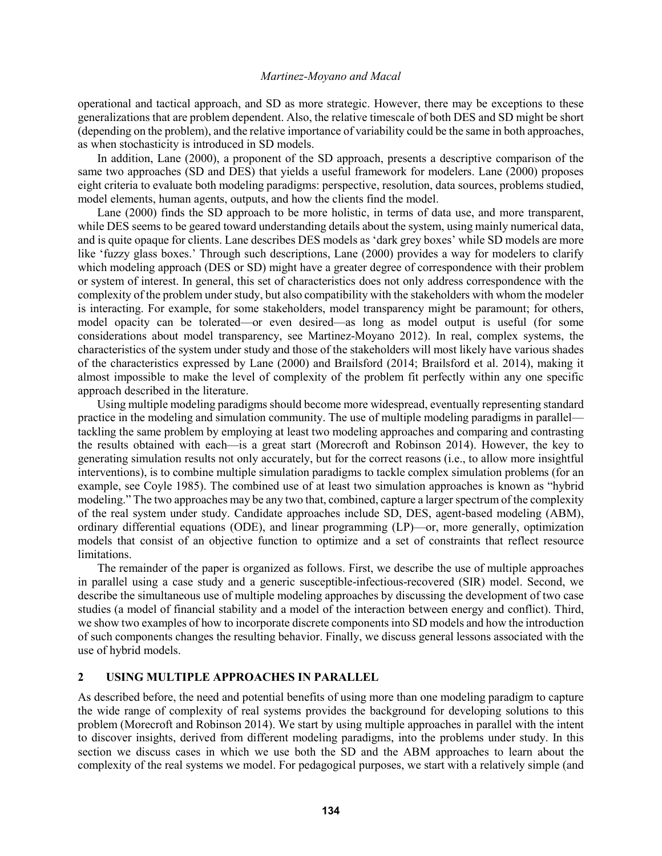operational and tactical approach, and SD as more strategic. However, there may be exceptions to these generalizations that are problem dependent. Also, the relative timescale of both DES and SD might be short (depending on the problem), and the relative importance of variability could be the same in both approaches, as when stochasticity is introduced in SD models.

In addition, Lane (2000), a proponent of the SD approach, presents a descriptive comparison of the same two approaches (SD and DES) that yields a useful framework for modelers. Lane (2000) proposes eight criteria to evaluate both modeling paradigms: perspective, resolution, data sources, problems studied, model elements, human agents, outputs, and how the clients find the model.

Lane (2000) finds the SD approach to be more holistic, in terms of data use, and more transparent, while DES seems to be geared toward understanding details about the system, using mainly numerical data, and is quite opaque for clients. Lane describes DES models as 'dark grey boxes' while SD models are more like 'fuzzy glass boxes.' Through such descriptions, Lane (2000) provides a way for modelers to clarify which modeling approach (DES or SD) might have a greater degree of correspondence with their problem or system of interest. In general, this set of characteristics does not only address correspondence with the complexity of the problem under study, but also compatibility with the stakeholders with whom the modeler is interacting. For example, for some stakeholders, model transparency might be paramount; for others, model opacity can be tolerated—or even desired—as long as model output is useful (for some considerations about model transparency, see Martinez-Moyano 2012). In real, complex systems, the characteristics of the system under study and those of the stakeholders will most likely have various shades of the characteristics expressed by Lane (2000) and Brailsford (2014; Brailsford et al. 2014), making it almost impossible to make the level of complexity of the problem fit perfectly within any one specific approach described in the literature.

Using multiple modeling paradigms should become more widespread, eventually representing standard practice in the modeling and simulation community. The use of multiple modeling paradigms in parallel tackling the same problem by employing at least two modeling approaches and comparing and contrasting the results obtained with each—is a great start (Morecroft and Robinson 2014). However, the key to generating simulation results not only accurately, but for the correct reasons (i.e., to allow more insightful interventions), is to combine multiple simulation paradigms to tackle complex simulation problems (for an example, see Coyle 1985). The combined use of at least two simulation approaches is known as "hybrid modeling." The two approaches may be any two that, combined, capture a larger spectrum of the complexity of the real system under study. Candidate approaches include SD, DES, agent-based modeling (ABM), ordinary differential equations (ODE), and linear programming (LP)—or, more generally, optimization models that consist of an objective function to optimize and a set of constraints that reflect resource limitations.

The remainder of the paper is organized as follows. First, we describe the use of multiple approaches in parallel using a case study and a generic susceptible-infectious-recovered (SIR) model. Second, we describe the simultaneous use of multiple modeling approaches by discussing the development of two case studies (a model of financial stability and a model of the interaction between energy and conflict). Third, we show two examples of how to incorporate discrete components into SD models and how the introduction of such components changes the resulting behavior. Finally, we discuss general lessons associated with the use of hybrid models.

# **2 USING MULTIPLE APPROACHES IN PARALLEL**

As described before, the need and potential benefits of using more than one modeling paradigm to capture the wide range of complexity of real systems provides the background for developing solutions to this problem (Morecroft and Robinson 2014). We start by using multiple approaches in parallel with the intent to discover insights, derived from different modeling paradigms, into the problems under study. In this section we discuss cases in which we use both the SD and the ABM approaches to learn about the complexity of the real systems we model. For pedagogical purposes, we start with a relatively simple (and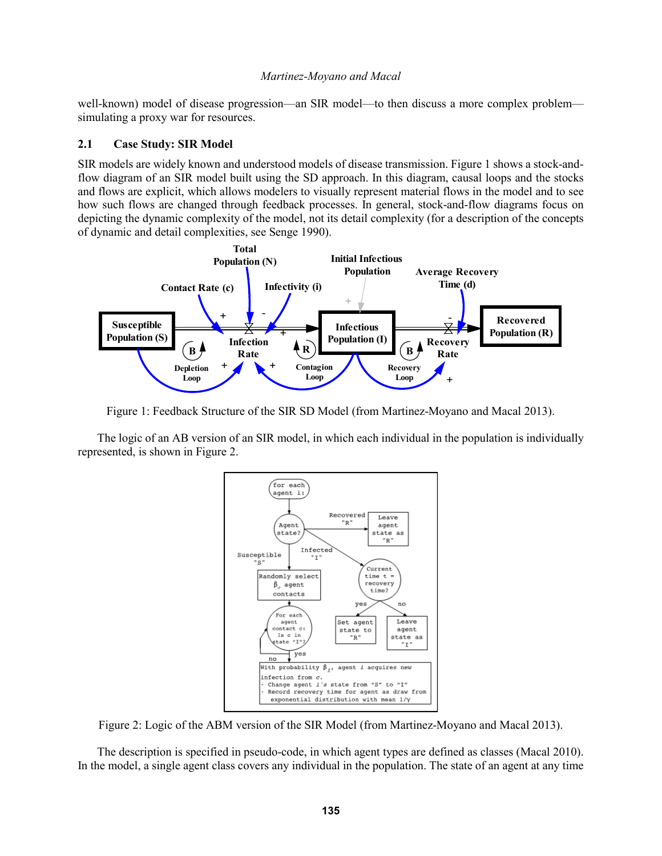well-known) model of disease progression—an SIR model—to then discuss a more complex problem simulating a proxy war for resources.

### **2.1 Case Study: SIR Model**

SIR models are widely known and understood models of disease transmission. Figure 1 shows a stock-andflow diagram of an SIR model built using the SD approach. In this diagram, causal loops and the stocks and flows are explicit, which allows modelers to visually represent material flows in the model and to see how such flows are changed through feedback processes. In general, stock-and-flow diagrams focus on depicting the dynamic complexity of the model, not its detail complexity (for a description of the concepts of dynamic and detail complexities, see Senge 1990).



Figure 1: Feedback Structure of the SIR SD Model (from Martinez-Moyano and Macal 2013).

The logic of an AB version of an SIR model, in which each individual in the population is individually represented, is shown in Figure 2.



Figure 2: Logic of the ABM version of the SIR Model (from Martinez-Moyano and Macal 2013).

The description is specified in pseudo-code, in which agent types are defined as classes (Macal 2010). In the model, a single agent class covers any individual in the population. The state of an agent at any time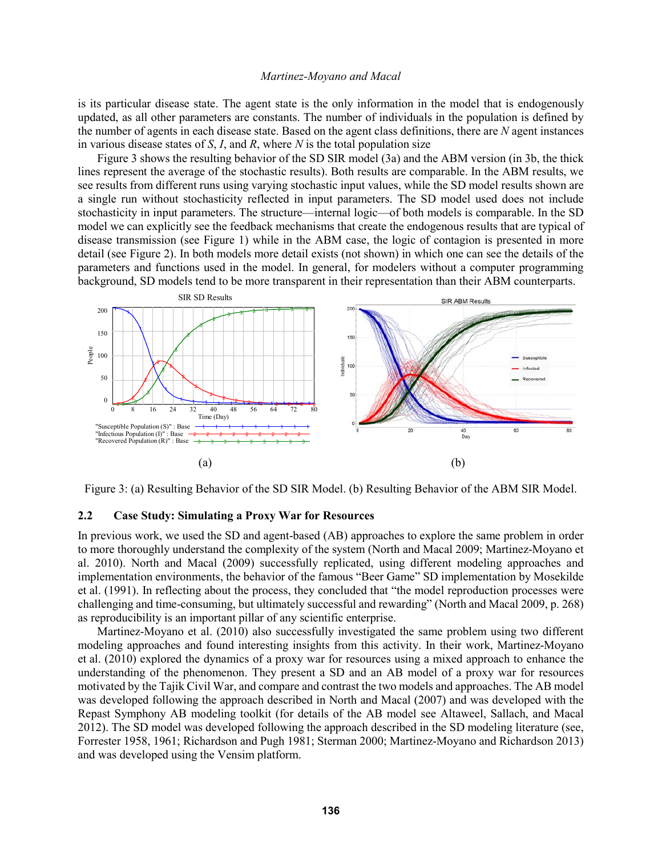is its particular disease state. The agent state is the only information in the model that is endogenously updated, as all other parameters are constants. The number of individuals in the population is defined by the number of agents in each disease state. Based on the agent class definitions, there are *N* agent instances in various disease states of *S*, *I*, and *R*, where *N* is the total population size

Figure 3 shows the resulting behavior of the SD SIR model (3a) and the ABM version (in 3b, the thick lines represent the average of the stochastic results). Both results are comparable. In the ABM results, we see results from different runs using varying stochastic input values, while the SD model results shown are a single run without stochasticity reflected in input parameters. The SD model used does not include stochasticity in input parameters. The structure—internal logic—of both models is comparable. In the SD model we can explicitly see the feedback mechanisms that create the endogenous results that are typical of disease transmission (see Figure 1) while in the ABM case, the logic of contagion is presented in more detail (see Figure 2). In both models more detail exists (not shown) in which one can see the details of the parameters and functions used in the model. In general, for modelers without a computer programming background, SD models tend to be more transparent in their representation than their ABM counterparts.



Figure 3: (a) Resulting Behavior of the SD SIR Model. (b) Resulting Behavior of the ABM SIR Model.

### **2.2 Case Study: Simulating a Proxy War for Resources**

In previous work, we used the SD and agent-based (AB) approaches to explore the same problem in order to more thoroughly understand the complexity of the system (North and Macal 2009; Martinez-Moyano et al. 2010). North and Macal (2009) successfully replicated, using different modeling approaches and implementation environments, the behavior of the famous "Beer Game" SD implementation by Mosekilde et al. (1991). In reflecting about the process, they concluded that "the model reproduction processes were challenging and time-consuming, but ultimately successful and rewarding" (North and Macal 2009, p. 268) as reproducibility is an important pillar of any scientific enterprise.

Martinez-Moyano et al. (2010) also successfully investigated the same problem using two different modeling approaches and found interesting insights from this activity. In their work, Martinez-Moyano et al. (2010) explored the dynamics of a proxy war for resources using a mixed approach to enhance the understanding of the phenomenon. They present a SD and an AB model of a proxy war for resources motivated by the Tajik Civil War, and compare and contrast the two models and approaches. The AB model was developed following the approach described in North and Macal (2007) and was developed with the Repast Symphony AB modeling toolkit (for details of the AB model see Altaweel, Sallach, and Macal 2012). The SD model was developed following the approach described in the SD modeling literature (see, Forrester 1958, 1961; Richardson and Pugh 1981; Sterman 2000; Martinez-Moyano and Richardson 2013) and was developed using the Vensim platform.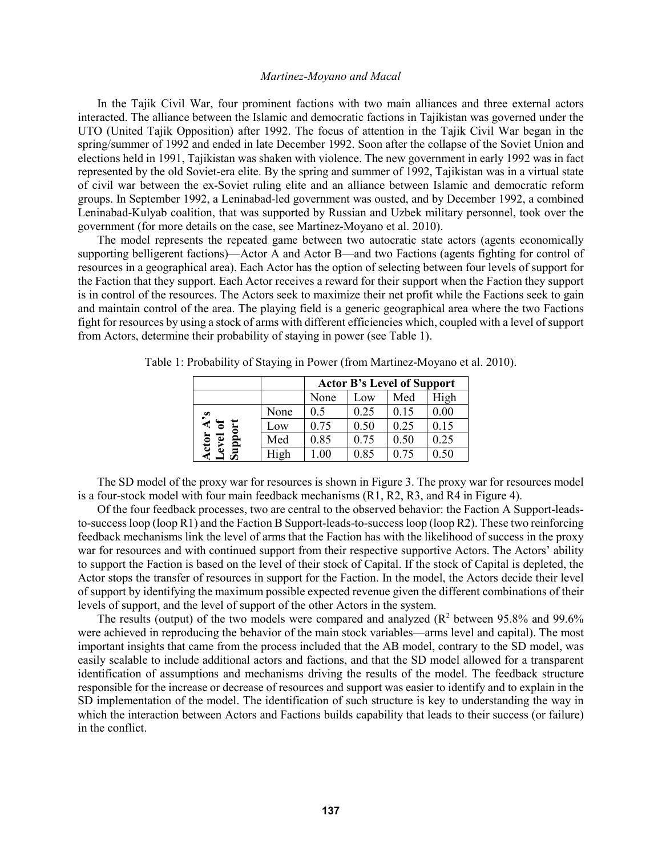In the Tajik Civil War, four prominent factions with two main alliances and three external actors interacted. The alliance between the Islamic and democratic factions in Tajikistan was governed under the UTO (United Tajik Opposition) after 1992. The focus of attention in the Tajik Civil War began in the spring/summer of 1992 and ended in late December 1992. Soon after the collapse of the Soviet Union and elections held in 1991, Tajikistan was shaken with violence. The new government in early 1992 was in fact represented by the old Soviet-era elite. By the spring and summer of 1992, Tajikistan was in a virtual state of civil war between the ex-Soviet ruling elite and an alliance between Islamic and democratic reform groups. In September 1992, a Leninabad-led government was ousted, and by December 1992, a combined Leninabad-Kulyab coalition, that was supported by Russian and Uzbek military personnel, took over the government (for more details on the case, see Martinez-Moyano et al. 2010).

The model represents the repeated game between two autocratic state actors (agents economically supporting belligerent factions)—Actor A and Actor B—and two Factions (agents fighting for control of resources in a geographical area). Each Actor has the option of selecting between four levels of support for the Faction that they support. Each Actor receives a reward for their support when the Faction they support is in control of the resources. The Actors seek to maximize their net profit while the Factions seek to gain and maintain control of the area. The playing field is a generic geographical area where the two Factions fight for resources by using a stock of arms with different efficiencies which, coupled with a level of support from Actors, determine their probability of staying in power (see Table 1).

|                                          |      | <b>Actor B's Level of Support</b> |      |      |          |
|------------------------------------------|------|-----------------------------------|------|------|----------|
|                                          |      | None                              | Low  | Med  | High     |
| $\mathbf{s}$<br>∢ "ລ<br>cto <sub>l</sub> | None | 0.5                               | 0.25 | 0.15 | $0.00\,$ |
|                                          | Low  | 0.75                              | 0.50 | 0.25 | 0.15     |
|                                          | Med  | 0.85                              | 0.75 | 0.50 | 0.25     |
|                                          | High | 00                                | 0.85 | 0.75 |          |

Table 1: Probability of Staying in Power (from Martinez-Moyano et al. 2010).

The SD model of the proxy war for resources is shown in Figure 3. The proxy war for resources model is a four-stock model with four main feedback mechanisms (R1, R2, R3, and R4 in Figure 4).

Of the four feedback processes, two are central to the observed behavior: the Faction A Support-leadsto-success loop (loop R1) and the Faction B Support-leads-to-success loop (loop R2). These two reinforcing feedback mechanisms link the level of arms that the Faction has with the likelihood of success in the proxy war for resources and with continued support from their respective supportive Actors. The Actors' ability to support the Faction is based on the level of their stock of Capital. If the stock of Capital is depleted, the Actor stops the transfer of resources in support for the Faction. In the model, the Actors decide their level of support by identifying the maximum possible expected revenue given the different combinations of their levels of support, and the level of support of the other Actors in the system.

The results (output) of the two models were compared and analyzed  $(R^2$  between 95.8% and 99.6% were achieved in reproducing the behavior of the main stock variables—arms level and capital). The most important insights that came from the process included that the AB model, contrary to the SD model, was easily scalable to include additional actors and factions, and that the SD model allowed for a transparent identification of assumptions and mechanisms driving the results of the model. The feedback structure responsible for the increase or decrease of resources and support was easier to identify and to explain in the SD implementation of the model. The identification of such structure is key to understanding the way in which the interaction between Actors and Factions builds capability that leads to their success (or failure) in the conflict.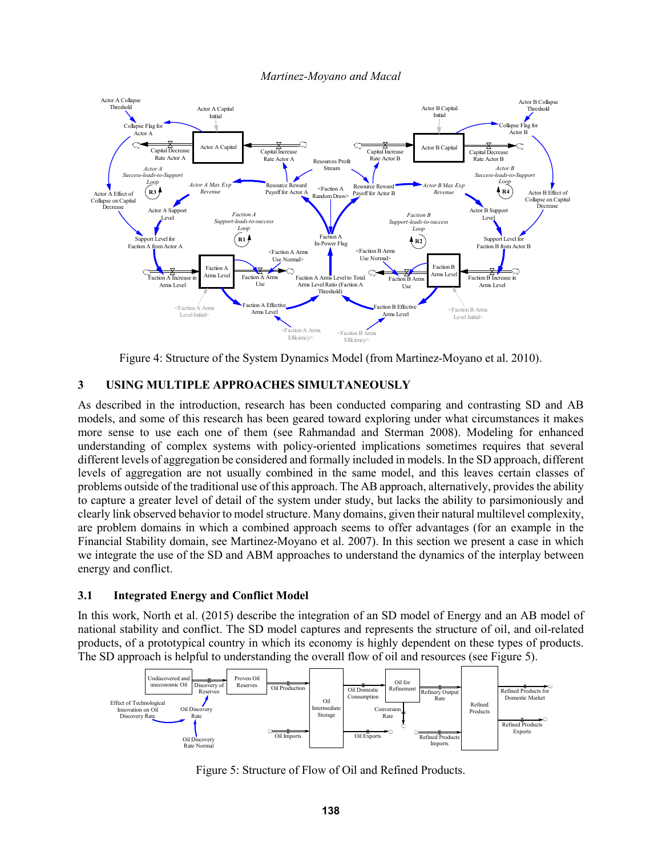

Figure 4: Structure of the System Dynamics Model (from Martinez-Moyano et al. 2010).

# **3 USING MULTIPLE APPROACHES SIMULTANEOUSLY**

As described in the introduction, research has been conducted comparing and contrasting SD and AB models, and some of this research has been geared toward exploring under what circumstances it makes more sense to use each one of them (see Rahmandad and Sterman 2008). Modeling for enhanced understanding of complex systems with policy-oriented implications sometimes requires that several different levels of aggregation be considered and formally included in models. In the SD approach, different levels of aggregation are not usually combined in the same model, and this leaves certain classes of problems outside of the traditional use of this approach. The AB approach, alternatively, provides the ability to capture a greater level of detail of the system under study, but lacks the ability to parsimoniously and clearly link observed behavior to model structure. Many domains, given their natural multilevel complexity, are problem domains in which a combined approach seems to offer advantages (for an example in the Financial Stability domain, see Martinez-Moyano et al. 2007). In this section we present a case in which we integrate the use of the SD and ABM approaches to understand the dynamics of the interplay between energy and conflict.

# **3.1 Integrated Energy and Conflict Model**

In this work, North et al. (2015) describe the integration of an SD model of Energy and an AB model of national stability and conflict. The SD model captures and represents the structure of oil, and oil-related products, of a prototypical country in which its economy is highly dependent on these types of products. The SD approach is helpful to understanding the overall flow of oil and resources (see Figure 5).



Figure 5: Structure of Flow of Oil and Refined Products.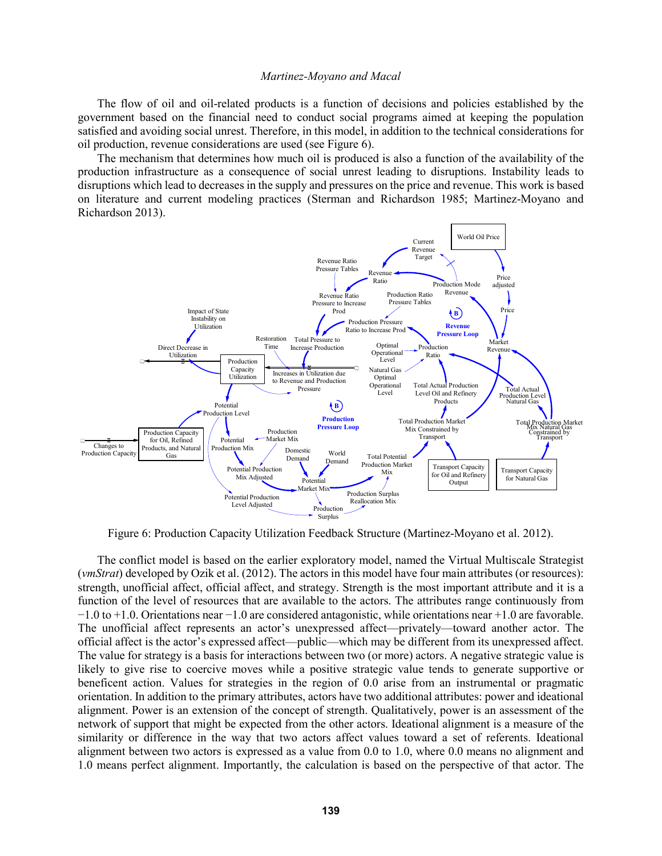The flow of oil and oil-related products is a function of decisions and policies established by the government based on the financial need to conduct social programs aimed at keeping the population satisfied and avoiding social unrest. Therefore, in this model, in addition to the technical considerations for oil production, revenue considerations are used (see Figure 6).

The mechanism that determines how much oil is produced is also a function of the availability of the production infrastructure as a consequence of social unrest leading to disruptions. Instability leads to disruptions which lead to decreases in the supply and pressures on the price and revenue. This work is based on literature and current modeling practices (Sterman and Richardson 1985; Martinez-Moyano and Richardson 2013).



Figure 6: Production Capacity Utilization Feedback Structure (Martinez-Moyano et al. 2012).

The conflict model is based on the earlier exploratory model, named the Virtual Multiscale Strategist (*vmStrat*) developed by Ozik et al. (2012). The actors in this model have four main attributes (or resources): strength, unofficial affect, official affect, and strategy. Strength is the most important attribute and it is a function of the level of resources that are available to the actors. The attributes range continuously from −1.0 to +1.0. Orientations near −1.0 are considered antagonistic, while orientations near +1.0 are favorable. The unofficial affect represents an actor's unexpressed affect—privately—toward another actor. The official affect is the actor's expressed affect—public—which may be different from its unexpressed affect. The value for strategy is a basis for interactions between two (or more) actors. A negative strategic value is likely to give rise to coercive moves while a positive strategic value tends to generate supportive or beneficent action. Values for strategies in the region of 0.0 arise from an instrumental or pragmatic orientation. In addition to the primary attributes, actors have two additional attributes: power and ideational alignment. Power is an extension of the concept of strength. Qualitatively, power is an assessment of the network of support that might be expected from the other actors. Ideational alignment is a measure of the similarity or difference in the way that two actors affect values toward a set of referents. Ideational alignment between two actors is expressed as a value from 0.0 to 1.0, where 0.0 means no alignment and 1.0 means perfect alignment. Importantly, the calculation is based on the perspective of that actor. The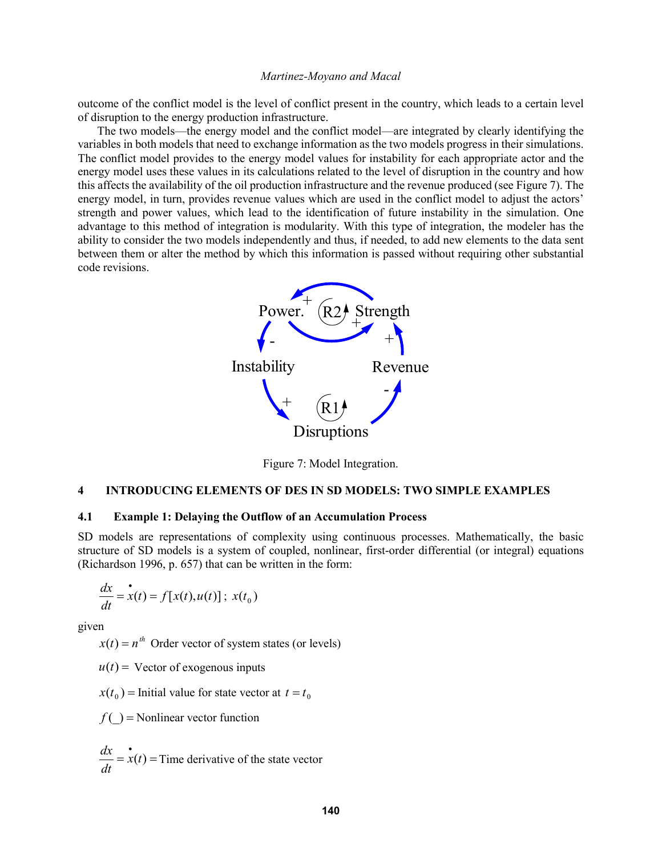outcome of the conflict model is the level of conflict present in the country, which leads to a certain level of disruption to the energy production infrastructure.

The two models—the energy model and the conflict model—are integrated by clearly identifying the variables in both models that need to exchange information as the two models progress in their simulations. The conflict model provides to the energy model values for instability for each appropriate actor and the energy model uses these values in its calculations related to the level of disruption in the country and how this affects the availability of the oil production infrastructure and the revenue produced (see Figure 7). The energy model, in turn, provides revenue values which are used in the conflict model to adjust the actors' strength and power values, which lead to the identification of future instability in the simulation. One advantage to this method of integration is modularity. With this type of integration, the modeler has the ability to consider the two models independently and thus, if needed, to add new elements to the data sent between them or alter the method by which this information is passed without requiring other substantial code revisions.



Figure 7: Model Integration.

### **4 INTRODUCING ELEMENTS OF DES IN SD MODELS: TWO SIMPLE EXAMPLES**

# **4.1 Example 1: Delaying the Outflow of an Accumulation Process**

SD models are representations of complexity using continuous processes. Mathematically, the basic structure of SD models is a system of coupled, nonlinear, first-order differential (or integral) equations (Richardson 1996, p. 657) that can be written in the form:

$$
\frac{dx}{dt} = \dot{x}(t) = f[x(t), u(t)]; x(t_0)
$$

given

 $x(t) = n^{th}$  Order vector of system states (or levels)

 $u(t)$  = Vector of exogenous inputs

 $x(t_0)$  = Initial value for state vector at  $t = t_0$ 

 $f(\_)$  = Nonlinear vector function

 $\frac{dx}{dt} = \dot{x}(t)$  = Time derivative of the state vector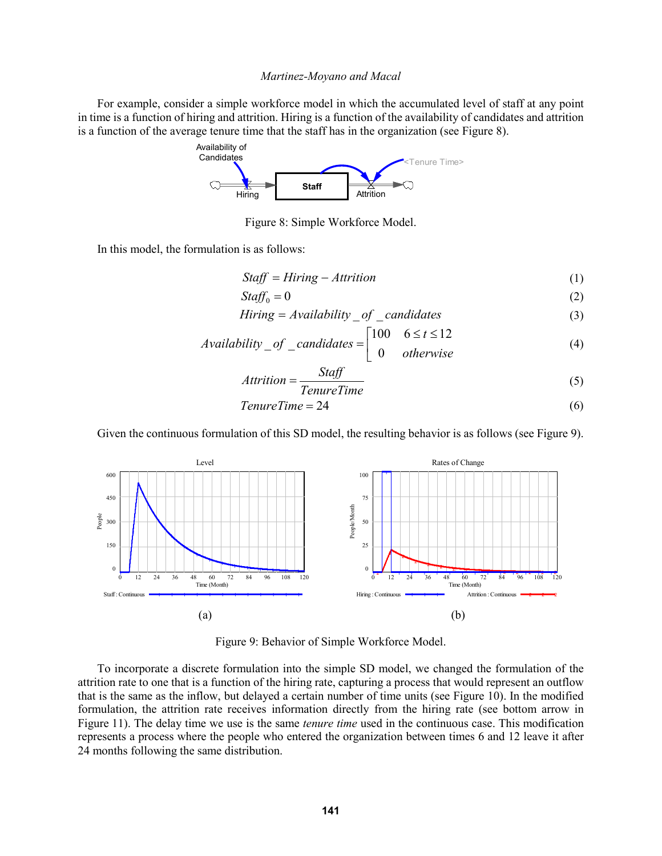For example, consider a simple workforce model in which the accumulated level of staff at any point in time is a function of hiring and attrition. Hiring is a function of the availability of candidates and attrition is a function of the average tenure time that the staff has in the organization (see Figure 8).



Figure 8: Simple Workforce Model.

In this model, the formulation is as follows:

$$
Staff = Hiring - Attrition
$$
\n(1)

$$
Staff_0 = 0
$$
 (2)

$$
Hiring = Availableility \_ of \_candidates
$$
\n(3)

$$
Availability\_of\_candidates = \begin{bmatrix} 100 & 6 \le t \le 12 \\ 0 & otherwise \end{bmatrix}
$$
 (4)

$$
Attention = \frac{Staff}{TenureTime}
$$
 (5)

$$
TenureTime = 24 \tag{6}
$$

Given the continuous formulation of this SD model, the resulting behavior is as follows (see Figure 9).



Figure 9: Behavior of Simple Workforce Model.

To incorporate a discrete formulation into the simple SD model, we changed the formulation of the attrition rate to one that is a function of the hiring rate, capturing a process that would represent an outflow that is the same as the inflow, but delayed a certain number of time units (see Figure 10). In the modified formulation, the attrition rate receives information directly from the hiring rate (see bottom arrow in Figure 11). The delay time we use is the same *tenure time* used in the continuous case. This modification represents a process where the people who entered the organization between times 6 and 12 leave it after 24 months following the same distribution.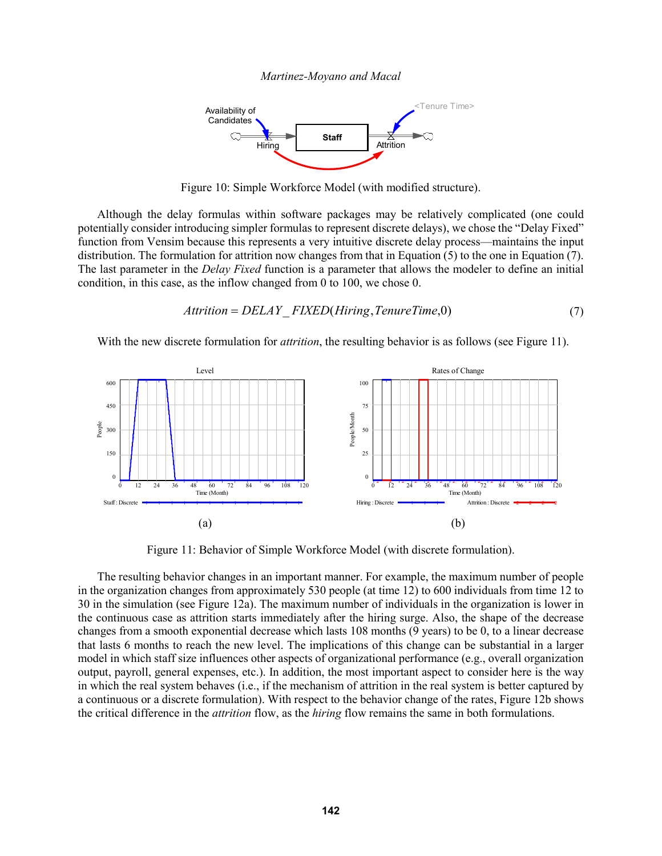*Martinez-Moyano and Macal*



Figure 10: Simple Workforce Model (with modified structure).

Although the delay formulas within software packages may be relatively complicated (one could potentially consider introducing simpler formulas to represent discrete delays), we chose the "Delay Fixed" function from Vensim because this represents a very intuitive discrete delay process—maintains the input distribution. The formulation for attrition now changes from that in Equation (5) to the one in Equation (7). The last parameter in the *Delay Fixed* function is a parameter that allows the modeler to define an initial condition, in this case, as the inflow changed from 0 to 100, we chose 0.

$$
Attention = DELAY\_FLXED(Hiring, TenureTime, 0)
$$
\n(7)

With the new discrete formulation for *attrition*, the resulting behavior is as follows (see Figure 11).



Figure 11: Behavior of Simple Workforce Model (with discrete formulation).

The resulting behavior changes in an important manner. For example, the maximum number of people in the organization changes from approximately 530 people (at time 12) to 600 individuals from time 12 to 30 in the simulation (see Figure 12a). The maximum number of individuals in the organization is lower in the continuous case as attrition starts immediately after the hiring surge. Also, the shape of the decrease changes from a smooth exponential decrease which lasts 108 months (9 years) to be 0, to a linear decrease that lasts 6 months to reach the new level. The implications of this change can be substantial in a larger model in which staff size influences other aspects of organizational performance (e.g., overall organization output, payroll, general expenses, etc.). In addition, the most important aspect to consider here is the way in which the real system behaves (i.e., if the mechanism of attrition in the real system is better captured by a continuous or a discrete formulation). With respect to the behavior change of the rates, Figure 12b shows the critical difference in the *attrition* flow, as the *hiring* flow remains the same in both formulations.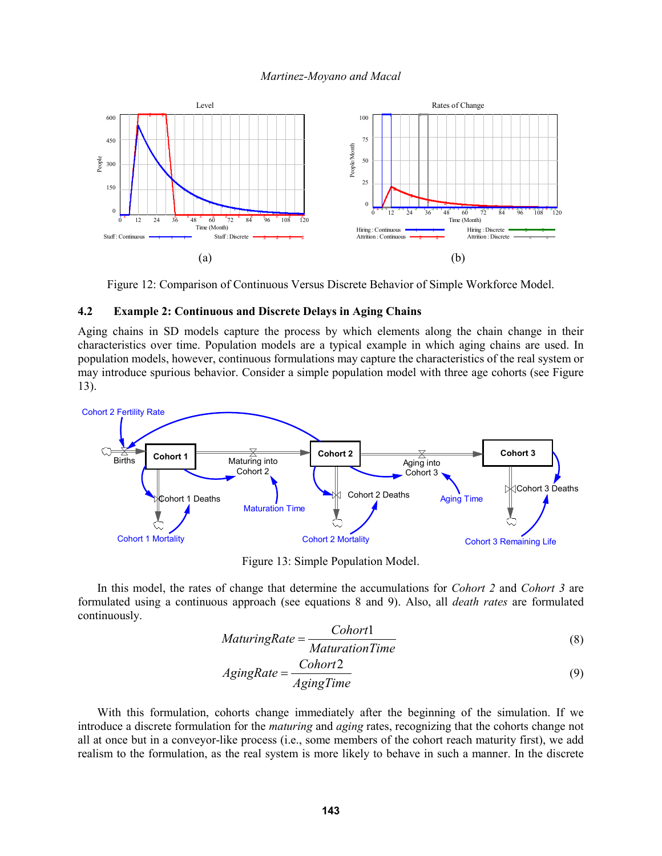

Figure 12: Comparison of Continuous Versus Discrete Behavior of Simple Workforce Model.

### **4.2 Example 2: Continuous and Discrete Delays in Aging Chains**

Aging chains in SD models capture the process by which elements along the chain change in their characteristics over time. Population models are a typical example in which aging chains are used. In population models, however, continuous formulations may capture the characteristics of the real system or may introduce spurious behavior. Consider a simple population model with three age cohorts (see Figure 13).



Figure 13: Simple Population Model.

In this model, the rates of change that determine the accumulations for *Cohort 2* and *Cohort 3* are formulated using a continuous approach (see equations 8 and 9). Also, all *death rates* are formulated continuously.

$$
MaturingRate = \frac{Cohort1}{MaturationTime}
$$
 (8)

$$
Again Rate = \frac{Cohort2}{Again gTime}
$$
 (9)

With this formulation, cohorts change immediately after the beginning of the simulation. If we introduce a discrete formulation for the *maturing* and *aging* rates, recognizing that the cohorts change not all at once but in a conveyor-like process (i.e., some members of the cohort reach maturity first), we add realism to the formulation, as the real system is more likely to behave in such a manner. In the discrete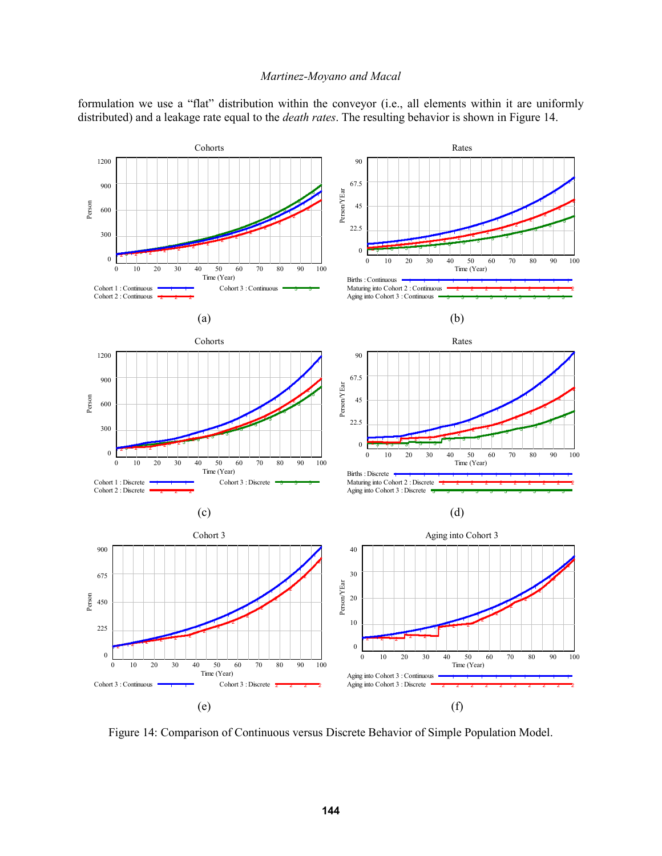formulation we use a "flat" distribution within the conveyor (i.e., all elements within it are uniformly distributed) and a leakage rate equal to the *death rates*. The resulting behavior is shown in Figure 14.



Figure 14: Comparison of Continuous versus Discrete Behavior of Simple Population Model.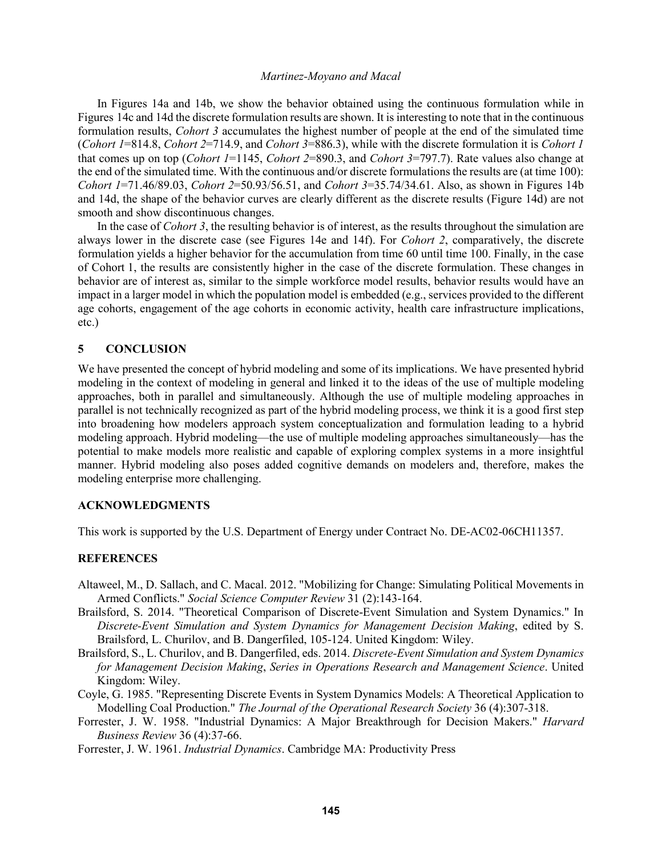In Figures 14a and 14b, we show the behavior obtained using the continuous formulation while in Figures 14c and 14d the discrete formulation results are shown. It is interesting to note that in the continuous formulation results, *Cohort 3* accumulates the highest number of people at the end of the simulated time (*Cohort 1*=814.8, *Cohort 2*=714.9, and *Cohort 3*=886.3), while with the discrete formulation it is *Cohort 1* that comes up on top (*Cohort 1*=1145, *Cohort 2*=890.3, and *Cohort 3*=797.7). Rate values also change at the end of the simulated time. With the continuous and/or discrete formulations the results are (at time 100): *Cohort 1*=71.46/89.03, *Cohort 2*=50.93/56.51, and *Cohort 3*=35.74/34.61. Also, as shown in Figures 14b and 14d, the shape of the behavior curves are clearly different as the discrete results (Figure 14d) are not smooth and show discontinuous changes.

In the case of *Cohort 3*, the resulting behavior is of interest, as the results throughout the simulation are always lower in the discrete case (see Figures 14e and 14f). For *Cohort 2*, comparatively, the discrete formulation yields a higher behavior for the accumulation from time 60 until time 100. Finally, in the case of Cohort 1, the results are consistently higher in the case of the discrete formulation. These changes in behavior are of interest as, similar to the simple workforce model results, behavior results would have an impact in a larger model in which the population model is embedded (e.g., services provided to the different age cohorts, engagement of the age cohorts in economic activity, health care infrastructure implications, etc.)

# **5 CONCLUSION**

We have presented the concept of hybrid modeling and some of its implications. We have presented hybrid modeling in the context of modeling in general and linked it to the ideas of the use of multiple modeling approaches, both in parallel and simultaneously. Although the use of multiple modeling approaches in parallel is not technically recognized as part of the hybrid modeling process, we think it is a good first step into broadening how modelers approach system conceptualization and formulation leading to a hybrid modeling approach. Hybrid modeling—the use of multiple modeling approaches simultaneously—has the potential to make models more realistic and capable of exploring complex systems in a more insightful manner. Hybrid modeling also poses added cognitive demands on modelers and, therefore, makes the modeling enterprise more challenging.

### **ACKNOWLEDGMENTS**

This work is supported by the U.S. Department of Energy under Contract No. DE-AC02-06CH11357.

# **REFERENCES**

- Altaweel, M., D. Sallach, and C. Macal. 2012. "Mobilizing for Change: Simulating Political Movements in Armed Conflicts." *Social Science Computer Review* 31 (2):143-164.
- Brailsford, S. 2014. "Theoretical Comparison of Discrete-Event Simulation and System Dynamics." In *Discrete-Event Simulation and System Dynamics for Management Decision Making*, edited by S. Brailsford, L. Churilov, and B. Dangerfiled, 105-124. United Kingdom: Wiley.
- Brailsford, S., L. Churilov, and B. Dangerfiled, eds. 2014. *Discrete-Event Simulation and System Dynamics for Management Decision Making*, *Series in Operations Research and Management Science*. United Kingdom: Wiley.
- Coyle, G. 1985. "Representing Discrete Events in System Dynamics Models: A Theoretical Application to Modelling Coal Production." *The Journal of the Operational Research Society* 36 (4):307-318.
- Forrester, J. W. 1958. "Industrial Dynamics: A Major Breakthrough for Decision Makers." *Harvard Business Review* 36 (4):37-66.

Forrester, J. W. 1961. *Industrial Dynamics*. Cambridge MA: Productivity Press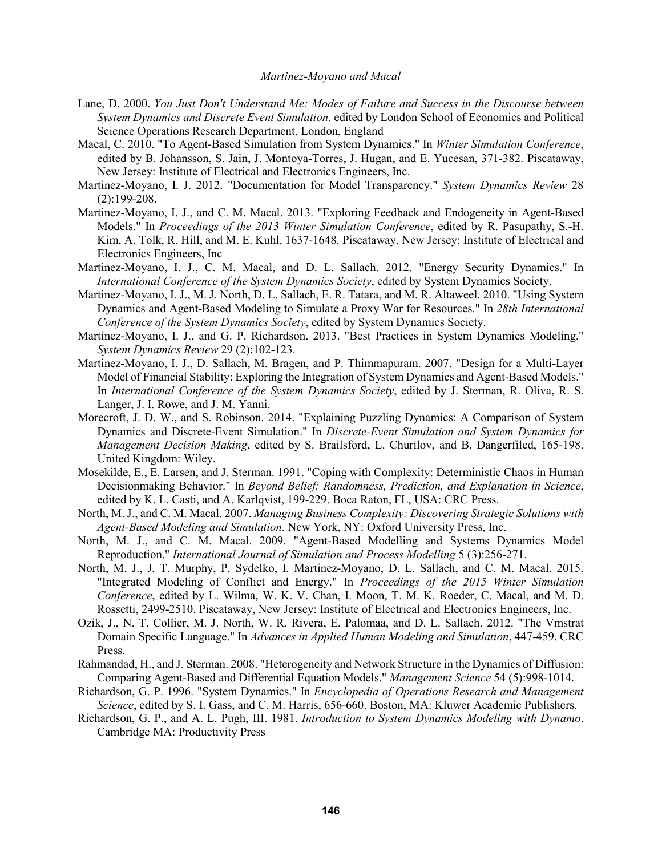- Lane, D. 2000. *You Just Don't Understand Me: Modes of Failure and Success in the Discourse between System Dynamics and Discrete Event Simulation*. edited by London School of Economics and Political Science Operations Research Department. London, England
- Macal, C. 2010. "To Agent-Based Simulation from System Dynamics." In *Winter Simulation Conference*, edited by B. Johansson, S. Jain, J. Montoya-Torres, J. Hugan, and E. Yucesan, 371-382. Piscataway, New Jersey: Institute of Electrical and Electronics Engineers, Inc.
- Martinez-Moyano, I. J. 2012. "Documentation for Model Transparency." *System Dynamics Review* 28 (2):199-208.
- Martinez-Moyano, I. J., and C. M. Macal. 2013. "Exploring Feedback and Endogeneity in Agent-Based Models." In *Proceedings of the 2013 Winter Simulation Conference*, edited by R. Pasupathy, S.-H. Kim, A. Tolk, R. Hill, and M. E. Kuhl, 1637-1648. Piscataway, New Jersey: Institute of Electrical and Electronics Engineers, Inc
- Martinez-Moyano, I. J., C. M. Macal, and D. L. Sallach. 2012. "Energy Security Dynamics." In *International Conference of the System Dynamics Society*, edited by System Dynamics Society.
- Martinez-Moyano, I. J., M. J. North, D. L. Sallach, E. R. Tatara, and M. R. Altaweel. 2010. "Using System Dynamics and Agent-Based Modeling to Simulate a Proxy War for Resources." In *28th International Conference of the System Dynamics Society*, edited by System Dynamics Society.
- Martinez-Moyano, I. J., and G. P. Richardson. 2013. "Best Practices in System Dynamics Modeling." *System Dynamics Review* 29 (2):102-123.
- Martinez-Moyano, I. J., D. Sallach, M. Bragen, and P. Thimmapuram. 2007. "Design for a Multi-Layer Model of Financial Stability: Exploring the Integration of System Dynamics and Agent-Based Models." In *International Conference of the System Dynamics Society*, edited by J. Sterman, R. Oliva, R. S. Langer, J. I. Rowe, and J. M. Yanni.
- Morecroft, J. D. W., and S. Robinson. 2014. "Explaining Puzzling Dynamics: A Comparison of System Dynamics and Discrete-Event Simulation." In *Discrete-Event Simulation and System Dynamics for Management Decision Making*, edited by S. Brailsford, L. Churilov, and B. Dangerfiled, 165-198. United Kingdom: Wiley.
- Mosekilde, E., E. Larsen, and J. Sterman. 1991. "Coping with Complexity: Deterministic Chaos in Human Decisionmaking Behavior." In *Beyond Belief: Randomness, Prediction, and Explanation in Science*, edited by K. L. Casti, and A. Karlqvist, 199-229. Boca Raton, FL, USA: CRC Press.
- North, M. J., and C. M. Macal. 2007. *Managing Business Complexity: Discovering Strategic Solutions with Agent-Based Modeling and Simulation*. New York, NY: Oxford University Press, Inc.
- North, M. J., and C. M. Macal. 2009. "Agent-Based Modelling and Systems Dynamics Model Reproduction." *International Journal of Simulation and Process Modelling* 5 (3):256-271.
- North, M. J., J. T. Murphy, P. Sydelko, I. Martinez-Moyano, D. L. Sallach, and C. M. Macal. 2015. "Integrated Modeling of Conflict and Energy." In *Proceedings of the 2015 Winter Simulation Conference*, edited by L. Wilma, W. K. V. Chan, I. Moon, T. M. K. Roeder, C. Macal, and M. D. Rossetti, 2499-2510. Piscataway, New Jersey: Institute of Electrical and Electronics Engineers, Inc.
- Ozik, J., N. T. Collier, M. J. North, W. R. Rivera, E. Palomaa, and D. L. Sallach. 2012. "The Vmstrat Domain Specific Language." In *Advances in Applied Human Modeling and Simulation*, 447-459. CRC Press.
- Rahmandad, H., and J. Sterman. 2008. "Heterogeneity and Network Structure in the Dynamics of Diffusion: Comparing Agent-Based and Differential Equation Models." *Management Science* 54 (5):998-1014.
- Richardson, G. P. 1996. "System Dynamics." In *Encyclopedia of Operations Research and Management Science*, edited by S. I. Gass, and C. M. Harris, 656-660. Boston, MA: Kluwer Academic Publishers.
- Richardson, G. P., and A. L. Pugh, III. 1981. *Introduction to System Dynamics Modeling with Dynamo*. Cambridge MA: Productivity Press